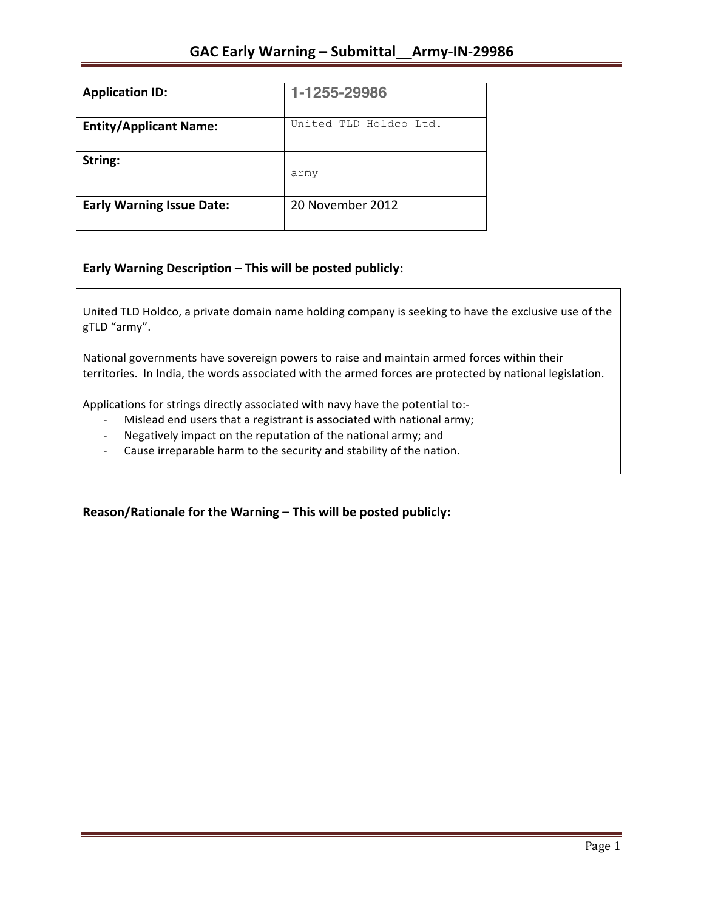| <b>Application ID:</b>           | 1-1255-29986           |
|----------------------------------|------------------------|
| <b>Entity/Applicant Name:</b>    | United TLD Holdco Ltd. |
| String:                          | army                   |
| <b>Early Warning Issue Date:</b> | 20 November 2012       |

## **Early Warning Description – This will be posted publicly:**

United TLD Holdco, a private domain name holding company is seeking to have the exclusive use of the gTLD "army".

National governments have sovereign powers to raise and maintain armed forces within their territories. In India, the words associated with the armed forces are protected by national legislation.

Applications for strings directly associated with navy have the potential to:-

- Mislead end users that a registrant is associated with national army;
- Negatively impact on the reputation of the national army; and
- Cause irreparable harm to the security and stability of the nation.

Reason/Rationale for the Warning – This will be posted publicly: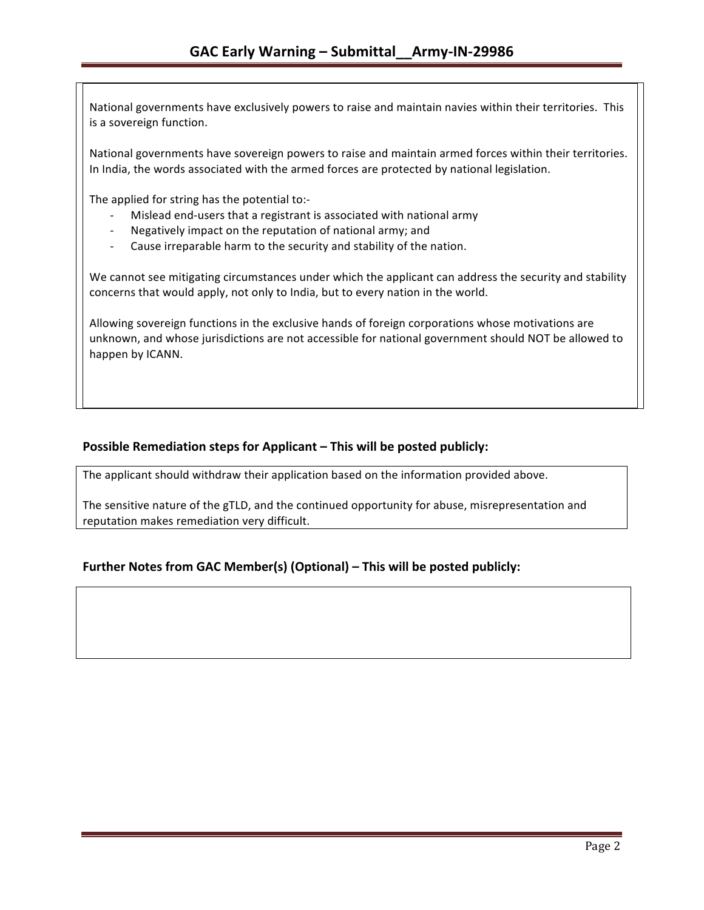National governments have exclusively powers to raise and maintain navies within their territories. This is a sovereign function.

National governments have sovereign powers to raise and maintain armed forces within their territories. In India, the words associated with the armed forces are protected by national legislation.

The applied for string has the potential to:-

- Mislead end-users that a registrant is associated with national army
- Negatively impact on the reputation of national army; and
- Cause irreparable harm to the security and stability of the nation.

We cannot see mitigating circumstances under which the applicant can address the security and stability concerns that would apply, not only to India, but to every nation in the world.

Allowing sovereign functions in the exclusive hands of foreign corporations whose motivations are unknown, and whose jurisdictions are not accessible for national government should NOT be allowed to happen by ICANN.

## **Possible Remediation steps for Applicant – This will be posted publicly:**

The applicant should withdraw their application based on the information provided above.

The sensitive nature of the gTLD, and the continued opportunity for abuse, misrepresentation and reputation makes remediation very difficult.

### **Further Notes from GAC Member(s) (Optional) – This will be posted publicly:**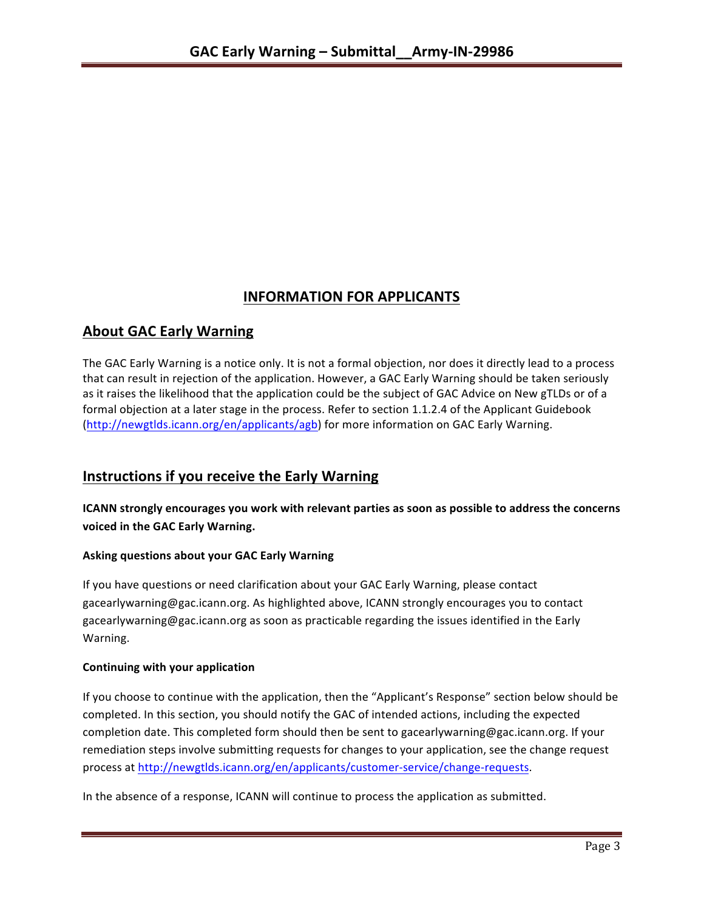# **INFORMATION FOR APPLICANTS**

# **About GAC Early Warning**

The GAC Early Warning is a notice only. It is not a formal objection, nor does it directly lead to a process that can result in rejection of the application. However, a GAC Early Warning should be taken seriously as it raises the likelihood that the application could be the subject of GAC Advice on New gTLDs or of a formal objection at a later stage in the process. Refer to section 1.1.2.4 of the Applicant Guidebook (http://newgtlds.icann.org/en/applicants/agb) for more information on GAC Early Warning.

# **Instructions if you receive the Early Warning**

**ICANN** strongly encourages you work with relevant parties as soon as possible to address the concerns **voiced in the GAC Early Warning.** 

### **Asking questions about your GAC Early Warning**

If you have questions or need clarification about your GAC Early Warning, please contact gacearlywarning@gac.icann.org. As highlighted above, ICANN strongly encourages you to contact gacearlywarning@gac.icann.org as soon as practicable regarding the issues identified in the Early Warning. 

#### **Continuing with your application**

If you choose to continue with the application, then the "Applicant's Response" section below should be completed. In this section, you should notify the GAC of intended actions, including the expected completion date. This completed form should then be sent to gacearlywarning@gac.icann.org. If your remediation steps involve submitting requests for changes to your application, see the change request process at http://newgtlds.icann.org/en/applicants/customer-service/change-requests.

In the absence of a response, ICANN will continue to process the application as submitted.